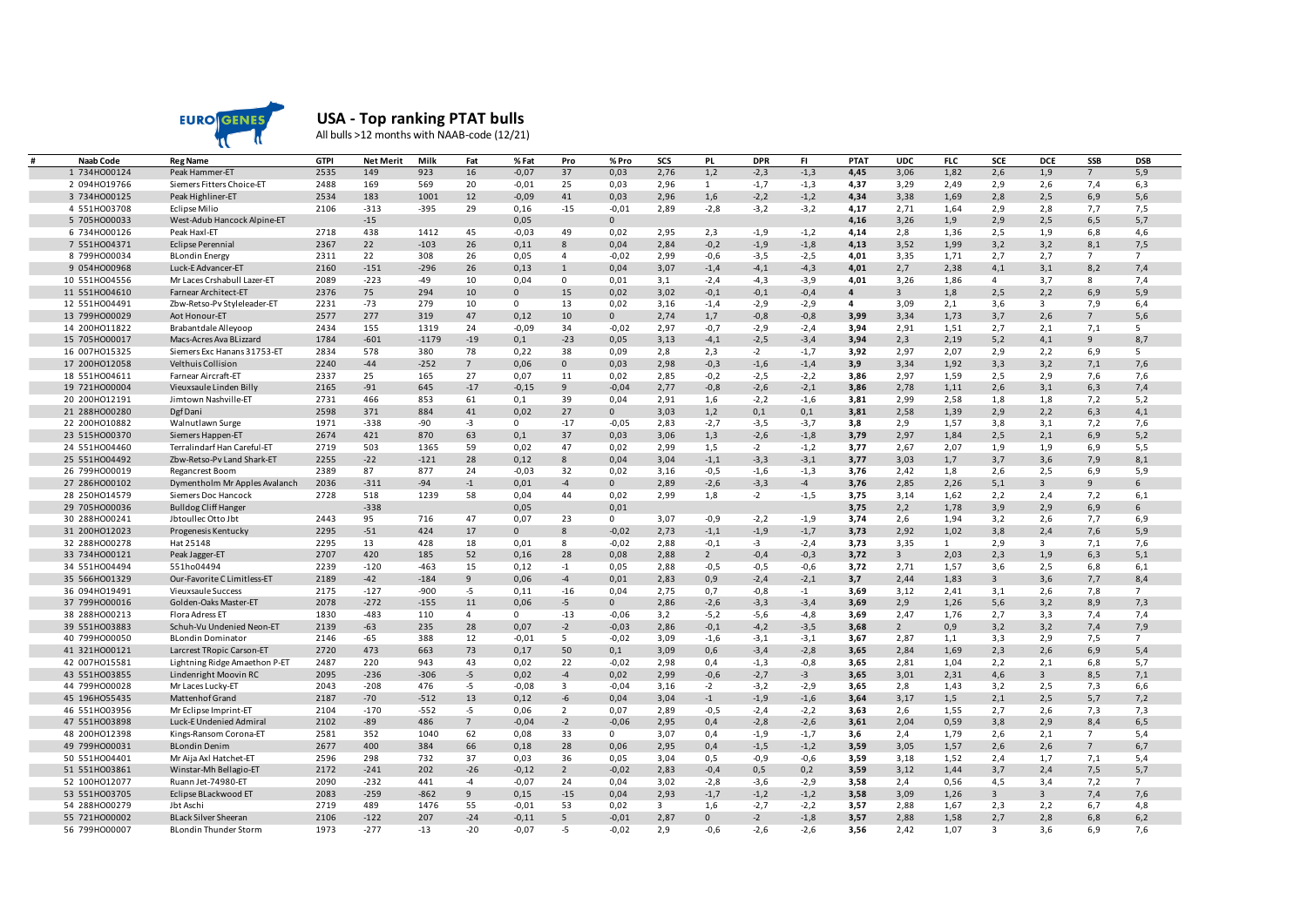

## **USA - Top ranking PTAT bulls**

All bulls >12 months with NAAB-code (12/21)

| Naab Code     | <b>Reg Name</b>                                  | GTPI         | <b>Net Merit</b> | Milk    | Fat            | % Fat           | Pro                     | % Pro           | SCS                     | PL             | <b>DPR</b>       | FI.              | PTAT         | <b>UDC</b>     | <b>FLC</b>   | SCE            | <b>DCE</b>              | SSB             | <b>DSB</b>      |
|---------------|--------------------------------------------------|--------------|------------------|---------|----------------|-----------------|-------------------------|-----------------|-------------------------|----------------|------------------|------------------|--------------|----------------|--------------|----------------|-------------------------|-----------------|-----------------|
| 1 734H000124  | Peak Hammer-ET                                   | 2535         | 149              | 923     | 16             | $-0,07$         | 37                      | 0,03            | 2,76                    | 1,2            | $-2,3$           | $-1,3$           | 4,45         | 3,06           | 1,82         | 2,6            | 1,9                     | $\overline{7}$  | 5,9             |
| 2 094H019766  | Siemers Fitters Choice-ET                        | 2488         | 169              | 569     | 20             | $-0,01$         | 25                      | 0,03            | 2,96                    | 1              | $-1,7$           | $-1,3$           | 4,37         | 3,29           | 2,49         | 2,9            | 2,6                     | 7,4             | 6,3             |
| 3 734H000125  | Peak Highliner-ET                                | 2534         | 183              | 1001    | 12             | $-0,09$         | 41                      | 0,03            | 2,96                    | 1,6            | $-2,2$           | $-1,2$           | 4,34         | 3,38           | 1,69         | 2,8            | 2,5                     | 6,9             | 5,6             |
| 4 551H003708  | <b>Eclipse Milio</b>                             | 2106         | $-313$           | $-395$  | 29             | 0,16            | $-15$                   | $-0,01$         | 2,89                    | $-2,8$         | $-3,2$           | $-3,2$           | 4,17         | 2,71           | 1,64         | 2,9            | 2,8                     | 7,7             | 7,5             |
| 5 705HO00033  | West-Adub Hancock Alpine-ET                      |              | $-15$            |         |                | 0,05            |                         | $\mathbf{0}$    |                         |                |                  |                  | 4,16         | 3,26           | 1,9          | 2,9            | 2,5                     | 6, 5            | 5,7             |
| 6 734H000126  | Peak Haxl-ET                                     | 2718         | 438              | 1412    | 45             | $-0,03$         | 49                      | 0,02            | 2,95                    | 2,3            | $-1,9$           | $-1,2$           | 4,14         | 2,8            | 1,36         | 2,5            | 1,9                     | 6,8             | 4,6             |
| 7 551H004371  | <b>Eclipse Perennial</b>                         | 2367         | 22               | $-103$  | 26             | 0,11            | 8                       | 0,04            | 2,84                    | $-0,2$         | $-1,9$           | $-1,8$           | 4,13         | 3,52           | 1,99         | 3,2            | 3,2                     | 8,1             | 7,5             |
| 8 799H000034  | <b>BLondin Energy</b>                            | 2311         | 22               | 308     | 26             | 0,05            | $\overline{4}$          | $-0,02$         | 2,99                    | $-0,6$         | $-3,5$           | $-2,5$           | 4,01         | 3,35           | 1,71         | 2,7            | 2,7                     | 7               | $7\overline{ }$ |
| 9 054H000968  | Luck-E Advancer-ET                               | 2160         | $-151$           | $-296$  | 26             | 0,13            | $\mathbf{1}$            | 0,04            | 3,07                    | $-1,4$         | $-4,1$           | $-4,3$           | 4,01         | 2,7            | 2,38         | 4,1            | 3,1                     | 8,2             | 7,4             |
| 10 551H004556 | Mr Laces Crshabull Lazer-ET                      | 2089         | $-223$           | $-49$   | 10             | 0,04            | $\mathbf 0$             | 0,01            | 3,1                     | $-2,4$         | $-4,3$           | $-3,9$           | 4,01         | 3,26           | 1,86         | $\overline{4}$ | 3,7                     | 8               | 7,4             |
| 11 551H004610 | Farnear Architect-ET                             | 2376         | 75               | 294     | 10             | $\mathbf{0}$    | 15                      | 0,02            | 3,02                    | $-0,1$         | $-0,1$           | $-0,4$           | 4            | $\overline{3}$ | 1,8          | 2,5            | 2,2                     | 6,9             | 5,9             |
| 12 551H004491 | Zbw-Retso-Pv Styleleader-ET                      | 2231         | $-73$            | 279     | 10             | $\mathbf{0}$    | 13                      | 0,02            | 3,16                    | $-1,4$         | $-2,9$           | $-2,9$           | 4            | 3,09           | 2,1          | 3,6            | $\overline{\mathbf{3}}$ | 7,9             | 6,4             |
| 13 799H000029 | Aot Honour-ET                                    | 2577         | 277              | 319     | 47             | 0,12            | 10                      | $\mathbf 0$     | 2,74                    | 1,7            | $-0,8$           | $-0,8$           | 3,99         | 3,34           | 1,73         | 3,7            | 2,6                     | 7 <sup>7</sup>  | 5,6             |
| 14 200HO11822 | Brabantdale Alleyoop                             | 2434         | 155              | 1319    | 24             | $-0,09$         | 34                      | $-0,02$         | 2,97                    | $-0,7$         | $-2,9$           | $-2,4$           | 3,94         | 2,91           | 1,51         | 2,7            | 2,1                     | 7,1             | 5               |
| 15 705H000017 | Macs-Acres Ava BLizzard                          | 1784         | $-601$           | $-1179$ | $-19$          | 0,1             | $-23$                   | 0,05            | 3,13                    | $-4,1$         | $-2,5$           | $-3,4$           | 3,94         | 2,3            | 2,19         | 5,2            | 4,1                     | 9               | 8,7             |
| 16 007H015325 | Siemers Exc Hanans 31753-ET                      | 2834         | 578              | 380     | 78             | 0,22            | 38                      | 0,09            | 2,8                     | 2,3            | $-2$             | $-1,7$           | 3,92         | 2,97           | 2,07         | 2,9            | 2,2                     | 6,9             | 5               |
| 17 200HO12058 | Velthuis Collision                               | 2240         | $-44$            | $-252$  | $7^{\circ}$    | 0,06            | $\mathbf{0}$            | 0,03            | 2,98                    | $-0,3$         | $-1,6$           | $-1,4$           | 3,9          | 3,34           | 1,92         | 3,3            | 3,2                     | 7,1             | 7,6             |
| 18 551H004611 | Farnear Aircraft-ET                              | 2337         | 25               | 165     | 27             | 0,07            | 11                      | 0,02            | 2,85                    | $-0,2$         | $-2,5$           | $-2,2$           | 3,86         | 2,97           | 1,59         | 2,5            | 2,9                     | 7,6             | 7,6             |
| 19 721H000004 | Vieuxsaule Linden Billy                          | 2165         | $-91$            | 645     | $-17$          | $-0,15$         | 9                       | $-0,04$         | 2,77                    | $-0,8$         | $-2,6$           | $-2,1$           | 3,86         | 2,78           | 1,11         | 2,6            | 3,1                     | 6,3             | 7,4             |
| 20 200HO12191 | Jimtown Nashville-ET                             | 2731         | 466              | 853     | 61             | 0,1             | 39                      | 0,04            | 2,91                    | 1,6            | $-2,2$           | $-1,6$           | 3,81         | 2,99           | 2,58         | 1,8            | 1,8                     | 7,2             | 5,2             |
| 21 288H000280 | Dgf Dani                                         | 2598         | 371              | 884     | 41             | 0,02            | 27                      | $\mathbf{0}$    | 3,03                    | 1,2            | 0,1              | 0,1              | 3,81         | 2,58           | 1,39         | 2,9            | 2,2                     | 6,3             | 4,1             |
| 22 200HO10882 | Walnutlawn Surge                                 | 1971         | $-338$           | -90     | $-3$           | $\mathbf{0}$    | $-17$                   | $-0,05$         | 2,83                    | $-2,7$         | $-3,5$           | $-3,7$           | 3,8          | 2,9            | 1,57         | 3,8            | 3,1                     | 7,2             | 7,6             |
| 23 515H000370 | Siemers Happen-ET                                | 2674         | 421              | 870     | 63             | 0,1             | 37                      | 0,03            | 3,06                    | 1,3            | $-2,6$           | $-1,8$           | 3,79         | 2,97           | 1,84         | 2,5            | 2,1                     | 6,9             | 5,2             |
| 24 551H004460 | Terralindarf Han Careful-ET                      | 2719         | 503              | 1365    | 59             | 0,02            | 47                      | 0,02            | 2,99                    | 1,5            | $-2$             | $-1,2$           | 3,77         | 2,67           | 2,07         | 1,9            | 1,9                     | 6,9             | 5,5             |
| 25 551H004492 | Zbw-Retso-Pv Land Shark-ET                       | 2255         | $-22$            | $-121$  | 28             | 0,12            | 8                       | 0,04            | 3,04                    | $-1,1$         | $-3,3$           | $-3,1$           | 3,77         | 3,03           | 1,7          | 3,7            | 3,6                     | 7,9             | 8,1             |
| 26 799H000019 | Regancrest Boom                                  | 2389         | 87               | 877     | 24             | $-0,03$         | 32                      | 0,02            | 3.16                    | $-0,5$         | $-1,6$           | $-1,3$           | 3,76         | 2,42           | 1,8          | 2,6            | 2,5                     | 6,9             | 5.9             |
| 27 286H000102 | Dymentholm Mr Apples Avalanch                    | 2036         | $-311$           | $-94$   | $-1$           | 0,01            | $-4$                    | $\mathbf 0$     | 2,89                    | $-2,6$         | $-3,3$           | $-4$             | 3,76         | 2,85           | 2,26         | 5,1            | $\overline{3}$          | 9               | 6               |
| 28 250HO14579 | Siemers Doc Hancock                              | 2728         | 518              | 1239    | 58             | 0,04            | 44                      | 0,02            | 2,99                    | 1,8            | $-2$             | $-1,5$           | 3,75         | 3,14           | 1,62         | 2,2            | 2,4                     | 7,2             | 6,1             |
| 29 705H000036 | <b>Bulldog Cliff Hanger</b>                      |              | $-338$           |         |                | 0,05            |                         | 0,01            |                         |                |                  |                  | 3,75         | 2,2            | 1,78         | 3,9            | 2,9                     | 6,9             | 6               |
| 30 288HO00241 | Jbtoullec Otto Jbt                               | 2443         | 95               | 716     | 47             | 0,07            | 23                      | 0               | 3,07                    | $-0,9$         | $-2,2$           | $-1,9$           | 3,74         | 2,6            | 1,94         | 3,2            | 2,6                     | 7,7             | 6,9             |
| 31 200HO12023 | Progenesis Kentucky                              | 2295         | $-51$            | 424     | 17             | $\mathbf{0}$    | 8                       | $-0,02$         | 2,73                    | $-1,1$         | $-1,9$           | $-1,7$           | 3,73         | 2,92           | 1,02         | 3,8            | 2,4                     | 7,6             | 5,9             |
| 32 288H000278 | Hat 25148                                        | 2295         | 13               | 428     | 18             | 0,01            | 8                       | $-0,02$         | 2,88                    | $-0,1$         | $-3$             | $-2,4$           | 3,73         | 3,35           | $\mathbf{1}$ | 2,9            | $\overline{\mathbf{3}}$ | 7,1             | 7,6             |
| 33 734H000121 | Peak Jagger-ET                                   | 2707         | 420              | 185     | 52             | 0,16            | 28                      | 0,08            | 2,88                    | $\overline{2}$ | $-0,4$           | $-0,3$           | 3,72         | $\overline{3}$ | 2,03         | 2,3            | 1,9                     | 6,3             | 5,1             |
| 34 551H004494 | 551ho04494                                       | 2239         | $-120$           | $-463$  | 15             | 0,12            | $-1$                    | 0,05            | 2,88                    | $-0,5$         | $-0,5$           | $-0,6$           | 3,72         | 2,71           | 1,57         | 3,6            | 2,5                     | 6,8             | 6,1             |
| 35 566HO01329 | Our-Favorite C Limitless-ET                      | 2189         | $-42$            | $-184$  | 9              | 0,06            | $-4$                    | 0,01            | 2,83                    | 0,9            | $-2,4$           | $-2,1$           | 3,7          | 2,44           | 1,83         | 3              | 3,6                     | 7,7             | 8,4             |
| 36 094H019491 | Vieuxsaule Success                               | 2175         | $-127$           | $-900$  | $-5$           | 0,11            | $-16$                   | 0,04            | 2,75                    | 0,7            | $-0,8$           | $-1$             | 3,69         | 3,12           | 2,41         | 3,1            | 2,6                     | 7,8             | $\overline{7}$  |
| 37 799H000016 | Golden-Oaks Master-ET                            | 2078         | $-272$           | $-155$  | 11             | 0,06            | -5                      | $\mathbf 0$     | 2,86                    | $-2,6$         | $-3,3$           | $-3,4$           | 3,69         | 2,9            | 1,26         | 5,6            | 3,2                     | 8,9             | 7,3             |
| 38 288H000213 | Flora Adress ET                                  | 1830         | $-483$           | 110     | $\overline{4}$ | $\mathbf{0}$    | $-13$                   | $-0,06$         | 3,2                     | $-5,2$         | $-5,6$           | $-4,8$           | 3,69         | 2,47           | 1,76         | 2,7            | 3,3                     | 7,4             | 7,4             |
| 39 551H003883 | Schuh-Vu Undenied Neon-ET                        | 2139         | $-63$            | 235     | 28             | 0,07            | $-2$                    | $-0,03$         | 2,86                    | $-0,1$         | $-4,2$           | $-3,5$           | 3,68         | $\overline{2}$ | 0,9          | 3,2            | 3,2                     | 7,4             | 7,9             |
| 40 799H000050 | <b>BLondin Dominator</b>                         | 2146         | -65              | 388     | 12             | $-0,01$         | 5                       | $-0,02$         | 3,09                    | $-1,6$         | $-3,1$           | $-3,1$           | 3,67         | 2,87           | 1,1          | 3,3            | 2,9                     | 7,5             | $\overline{7}$  |
| 41 321H000121 | Larcrest TRopic Carson-ET                        | 2720         | 473              | 663     | 73             | 0,17            | 50                      | 0,1             | 3,09                    | 0,6            | $-3,4$           | $-2,8$           | 3,65         | 2,84           | 1,69         | 2,3            | 2,6                     | 6,9             | 5,4             |
| 42 007H015581 | Lightning Ridge Amaethon P-ET                    | 2487         | 220              | 943     | 43             | 0,02            | 22                      | $-0,02$         | 2,98                    | 0,4            | $-1,3$           | $-0,8$           | 3,65         | 2,81           | 1,04         | 2,2            | 2,1                     | 6,8             | 5,7             |
| 43 551H003855 | Lindenright Moovin RC                            | 2095         | $-236$           | $-306$  | $-5$           | 0,02            | $-4$                    | 0,02            | 2,99                    | $-0,6$         | $-2,7$           | $-3$             | 3,65         | 3,01           | 2,31         | 4,6            | $\mathbf{3}$            | 8,5             | 7,1             |
| 44 799H000028 |                                                  |              | $-208$           | 476     |                |                 | $\overline{\mathbf{3}}$ |                 |                         | $-2$           |                  |                  |              |                |              |                |                         |                 |                 |
| 45 196H055435 | Mr Laces Lucky-ET<br>Mattenhof Grand             | 2043<br>2187 | $-70$            | $-512$  | $-5$<br>13     | $-0,08$<br>0,12 | -6                      | $-0,04$<br>0,04 | 3,16<br>3,04            | $-1$           | $-3,2$<br>$-1,9$ | $-2,9$           | 3,65<br>3,64 | 2,8<br>3,17    | 1,43<br>1,5  | 3,2<br>2,1     | 2,5<br>2,5              | 7,3<br>5,7      | 6,6<br>7,2      |
|               |                                                  | 2104         | $-170$           | $-552$  | $-5$           | 0,06            | $\overline{2}$          | 0,07            | 2,89                    | $-0,5$         | $-2,4$           | $-1,6$           | 3,63         | 2,6            |              | 2,7            | 2,6                     | 7,3             | 7,3             |
| 46 551H003956 | Mr Eclipse Imprint-ET<br>Luck-E Undenied Admiral | 2102         | $-89$            | 486     | $7^{\circ}$    | $-0,04$         | $-2$                    | $-0,06$         | 2,95                    | 0,4            | $-2,8$           | $-2,2$<br>$-2,6$ | 3,61         | 2,04           | 1,55         | 3,8            | 2,9                     |                 | 6, 5            |
| 47 551H003898 |                                                  |              |                  |         |                |                 |                         |                 |                         |                |                  |                  |              |                | 0,59         |                |                         | 8,4             |                 |
| 48 200HO12398 | Kings-Ransom Corona-ET                           | 2581         | 352<br>400       | 1040    | 62             | 0,08            | 33                      | $\mathbf 0$     | 3,07                    | 0,4            | $-1,9$           | $-1,7$           | 3,6          | 2,4            | 1,79         | 2,6            | 2,1                     | $7\overline{ }$ | 5,4             |
| 49 799H000031 | <b>BLondin Denim</b>                             | 2677         | 298              | 384     | 66             | 0,18            | 28                      | 0,06            | 2,95                    | 0,4            | $-1,5$           | $-1,2$           | 3,59         | 3,05           | 1,57         | 2,6            | 2,6                     | $7\overline{ }$ | 6,7             |
| 50 551H004401 | Mr Aija Axl Hatchet-ET                           | 2596         |                  | 732     | 37             | 0,03            | 36                      | 0,05            | 3,04                    | 0,5            | $-0,9$           | $-0,6$           | 3,59         | 3,18           | 1,52         | 2,4            | 1,7                     | 7,1             | 5,4             |
| 51 551H003861 | Winstar-Mh Bellagio-ET                           | 2172         | $-241$           | 202     | $-26$          | $-0,12$         | $\overline{2}$          | $-0,02$         | 2,83                    | $-0,4$         | 0, 5             | 0,2              | 3,59         | 3,12           | 1,44         | 3,7            | 2,4                     | 7,5             | 5,7             |
| 52 100HO12077 | Ruann Jet-74980-ET                               | 2090         | $-232$           | 441     | $-4$           | $-0,07$         | 24                      | 0,04            | 3,02                    | $-2,8$         | $-3,6$           | $-2,9$           | 3,58         | 2,4            | 0,56         | 4,5            | 3,4                     | 7,2             | $\overline{7}$  |
| 53 551H003705 | Eclipse BLackwood ET                             | 2083         | $-259$           | $-862$  | 9              | 0,15            | $-15$                   | 0,04            | 2,93                    | $-1,7$         | $-1,2$           | $-1,2$           | 3,58         | 3,09           | 1,26         | $\mathbf{3}$   | $\overline{3}$          | 7,4             | 7,6             |
| 54 288HO00279 | Jbt Aschi                                        | 2719         | 489              | 1476    | 55             | $-0,01$         | 53                      | 0,02            | $\overline{\mathbf{3}}$ | 1,6            | $-2,7$           | $-2,2$           | 3,57         | 2,88           | 1,67         | 2,3            | 2,2                     | 6,7             | 4,8             |
| 55 721H000002 | <b>BLack Silver Sheeran</b>                      | 2106         | $-122$           | 207     | $-24$          | $-0,11$         | 5                       | $-0,01$         | 2,87                    | $\mathbf 0$    | $-2$             | $-1,8$           | 3,57         | 2,88           | 1,58         | 2,7            | 2,8                     | 6,8             | 6,2             |
| 56 799H000007 | <b>BLondin Thunder Storm</b>                     | 1973         | $-277$           | $-13$   | $-20$          | $-0,07$         | -5                      | $-0,02$         | 2,9                     | $-0,6$         | $-2,6$           | $-2,6$           | 3,56         | 2,42           | 1,07         | 3              | 3,6                     | 6,9             | 7,6             |